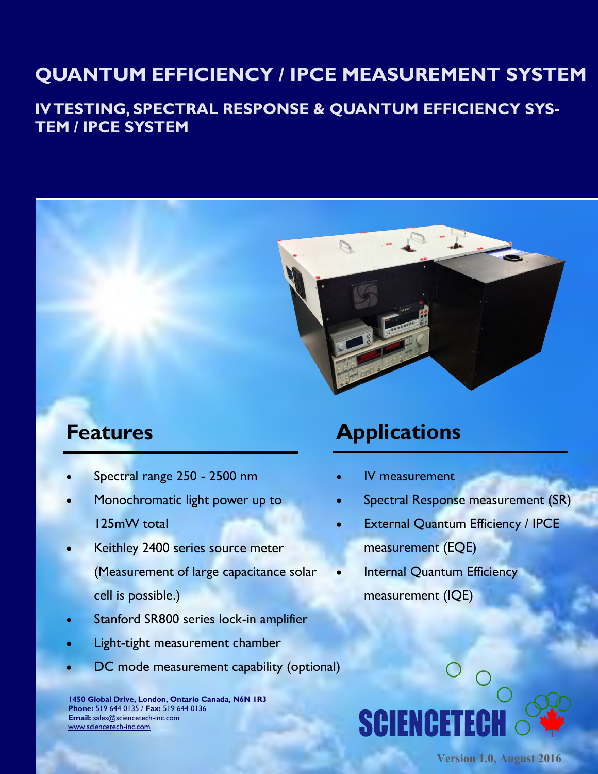# **QUANTUM EFFICIENCY / IPCE MEASUREMENT SYSTEM**

### **IV TESTING, SPECTRAL RESPONSE & QUANTUM EFFICIENCY SYS-TEM / IPCE SYSTEM**



- Spectral range 250 2500 nm
- Monochromatic light power up to 125mW total
- Keithley 2400 series source meter (Measurement of large capacitance solar cell is possible.)
- Stanford SR800 series lock-in amplifier
- Light-tight measurement chamber
- DC mode measurement capability (optional)

**1450 Global Drive, London, Ontario Canada, N6N 1R3 Phone:** 519 644 0135 / **Fax:** 519 644 0136 **Email:** [sales@sciencetech-inc.com](mailto:sales@sciencetech-inc.com) [www.sciencetech-inc.com](http://www.sciencetech-inc.com)

# **Features Applications**

- IV measurement
- Spectral Response measurement (SR)
- External Quantum Efficiency / IPCE measurement (EQE)
	- Internal Quantum Efficiency measurement (IQE)

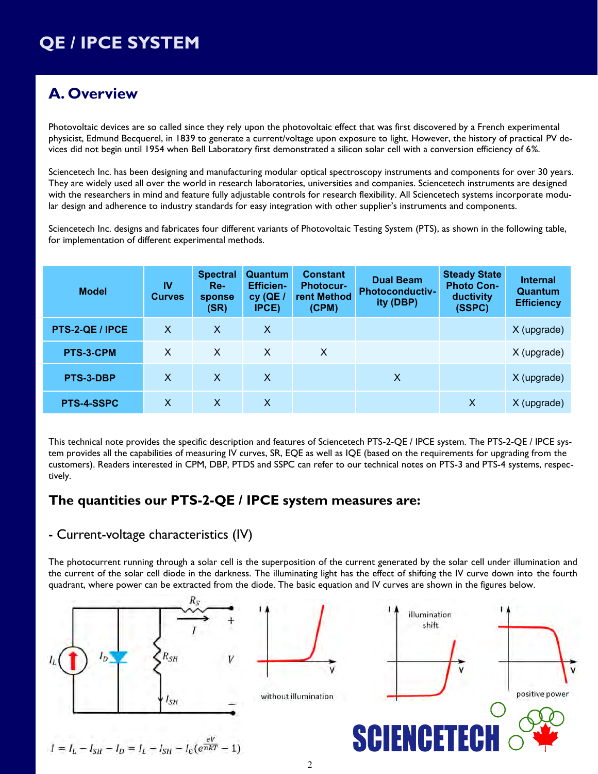### **A. Overview**

Photovoltaic devices are so called since they rely upon the photovoltaic effect that was first discovered by a French experimental physicist, Edmund Becquerel, in 1839 to generate a current/voltage upon exposure to light. However, the history of practical PV devices did not begin until 1954 when Bell Laboratory first demonstrated a silicon solar cell with a conversion efficiency of 6%.

Sciencetech Inc. has been designing and manufacturing modular optical spectroscopy instruments and components for over 30 years. They are widely used all over the world in research laboratories, universities and companies. Sciencetech instruments are designed with the researchers in mind and feature fully adjustable controls for research flexibility. All Sciencetech systems incorporate modular design and adherence to industry standards for easy integration with other supplier's instruments and components.

Sciencetech Inc. designs and fabricates four different variants of Photovoltaic Testing System (PTS), as shown in the following table, for implementation of different experimental methods.

| <b>Model</b>      | IV<br><b>Curves</b> | <b>Spectral</b><br>$Re-$<br>sponse<br>(SR) | Quantum<br><b>Efficien-</b><br>$cy$ (QE /<br><b>IPCE)</b> | <b>Constant</b><br><b>Photocur-</b><br>rent Method<br>(CPM) | <b>Dual Beam</b><br><b>Photoconductiv-</b><br>ity (DBP) | <b>Steady State</b><br><b>Photo Con-</b><br>ductivity<br>(SSPC) | <b>Internal</b><br>Quantum<br><b>Efficiency</b> |
|-------------------|---------------------|--------------------------------------------|-----------------------------------------------------------|-------------------------------------------------------------|---------------------------------------------------------|-----------------------------------------------------------------|-------------------------------------------------|
| PTS-2-QE / IPCE   | $\mathsf{X}$        | X                                          | $\mathsf{X}$                                              |                                                             |                                                         |                                                                 | $X$ (upgrade)                                   |
| PTS-3-CPM         | $\sf X$             | $\mathsf{X}$                               | $\mathsf{X}$                                              | X                                                           |                                                         |                                                                 | X (upgrade)                                     |
| PTS-3-DBP         | $\mathsf{X}$        | $\mathsf{X}$                               | $\mathsf{X}$                                              |                                                             | X                                                       |                                                                 | $X$ (upgrade)                                   |
| <b>PTS-4-SSPC</b> | $\mathsf{X}$        | $\mathsf{X}$                               | X                                                         |                                                             |                                                         | $\mathsf{x}$                                                    | X (upgrade)                                     |

This technical note provides the specific description and features of Sciencetech PTS-2-QE / IPCE system. The PTS-2-QE / IPCE system provides all the capabilities of measuring IV curves, SR, EQE as well as IQE (based on the requirements for upgrading from the customers). Readers interested in CPM, DBP, PTDS and SSPC can refer to our technical notes on PTS-3 and PTS-4 systems, respectively.

#### **The quantities our PTS-2-QE / IPCE system measures are:**

#### - Current-voltage characteristics (IV)

The photocurrent running through a solar cell is the superposition of the current generated by the solar cell under illumination and the current of the solar cell diode in the darkness. The illuminating light has the effect of shifting the IV curve down into the fourth quadrant, where power can be extracted from the diode. The basic equation and IV curves are shown in the figures below.

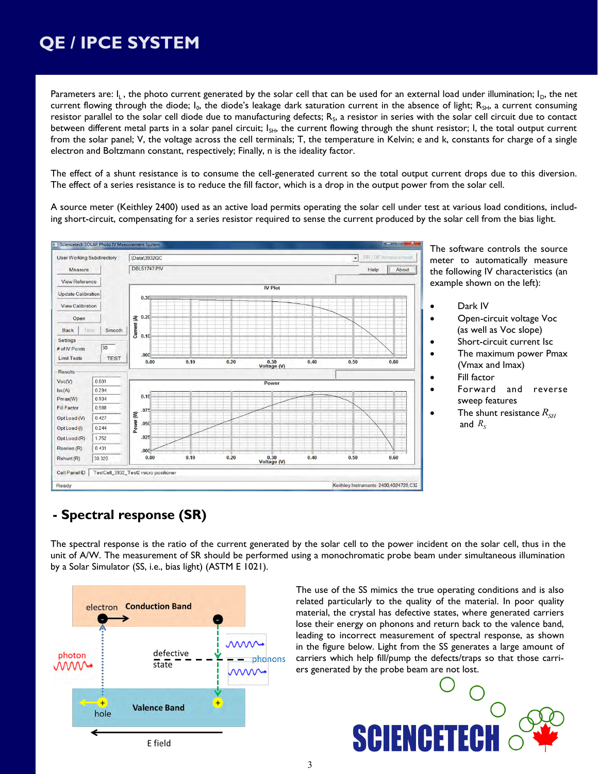Parameters are:  $I_L$ , the photo current generated by the solar cell that can be used for an external load under illumination;  $I_D$ , the net current flowing through the diode; I<sub>0</sub>, the diode's leakage dark saturation current in the absence of light; R<sub>SH</sub>, a current consuming resistor parallel to the solar cell diode due to manufacturing defects;  $R_s$ , a resistor in series with the solar cell circuit due to contact between different metal parts in a solar panel circuit;  $I_{SH}$ , the current flowing through the shunt resistor; I, the total output current from the solar panel; V, the voltage across the cell terminals; T, the temperature in Kelvin; e and k, constants for charge of a single electron and Boltzmann constant, respectively; Finally, n is the ideality factor.

The effect of a shunt resistance is to consume the cell-generated current so the total output current drops due to this diversion. The effect of a series resistance is to reduce the fill factor, which is a drop in the output power from the solar cell.

A source meter (Keithley 2400) used as an active load permits operating the solar cell under test at various load conditions, including short-circuit, compensating for a series resistor required to sense the current produced by the solar cell from the bias light.



The software controls the source meter to automatically measure the following IV characteristics (an example shown on the left):

- Dark IV
- Open-circuit voltage Voc (as well as Voc slope)
- Short-circuit current Isc
- The maximum power Pmax (Vmax and Imax)
- Fill factor
- Forward and reverse sweep features
- $\bullet$  The shunt resistance  $R_{\scriptscriptstyle SH}$ and  $R_{\scriptscriptstyle S}$

### **- Spectral response (SR)**

The spectral response is the ratio of the current generated by the solar cell to the power incident on the solar cell, thus in the unit of A/W. The measurement of SR should be performed using a monochromatic probe beam under simultaneous illumination by a Solar Simulator (SS, i.e., bias light) (ASTM E 1021).



The use of the SS mimics the true operating conditions and is also related particularly to the quality of the material. In poor quality material, the crystal has defective states, where generated carriers lose their energy on phonons and return back to the valence band, leading to incorrect measurement of spectral response, as shown in the figure below. Light from the SS generates a large amount of carriers which help fill/pump the defects/traps so that those carriers generated by the probe beam are not lost.

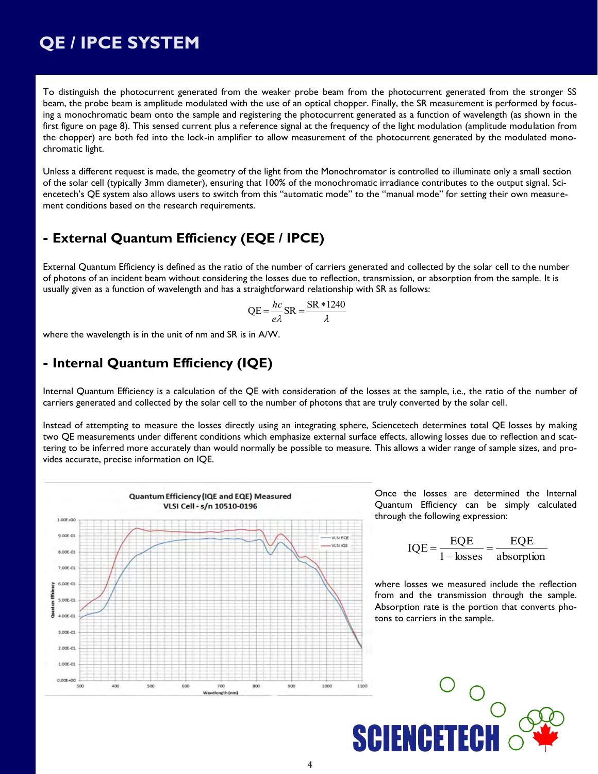To distinguish the photocurrent generated from the weaker probe beam from the photocurrent generated from the stronger SS beam, the probe beam is amplitude modulated with the use of an optical chopper. Finally, the SR measurement is performed by focusing a monochromatic beam onto the sample and registering the photocurrent generated as a function of wavelength (as shown in the first figure on page 8). This sensed current plus a reference signal at the frequency of the light modulation (amplitude modulation from the chopper) are both fed into the lock-in amplifier to allow measurement of the photocurrent generated by the modulated monochromatic light.

Unless a different request is made, the geometry of the light from the Monochromator is controlled to illuminate only a small section of the solar cell (typically 3mm diameter), ensuring that 100% of the monochromatic irradiance contributes to the output signal. Sciencetech's QE system also allows users to switch from this "automatic mode" to the "manual mode" for setting their own measurement conditions based on the research requirements.

#### **- External Quantum Efficiency (EQE / IPCE)**

External Quantum Efficiency is defined as the ratio of the number of carriers generated and collected by the solar cell to the number of photons of an incident beam without considering the losses due to reflection, transmission, or absorption from the sample. It is usually given as a function of wavelength and has a straightforward relationship with SR as follows:

$$
QE = \frac{hc}{e\lambda}SR = \frac{SR * 1240}{\lambda}
$$

where the wavelength is in the unit of nm and SR is in A/W.

#### **- Internal Quantum Efficiency (IQE)**

Internal Quantum Efficiency is a calculation of the QE with consideration of the losses at the sample, i.e., the ratio of the number of carriers generated and collected by the solar cell to the number of photons that are truly converted by the solar cell.

Instead of attempting to measure the losses directly using an integrating sphere, Sciencetech determines total QE losses by making two QE measurements under different conditions which emphasize external surface effects, allowing losses due to reflection and scattering to be inferred more accurately than would normally be possible to measure. This allows a wider range of sample sizes, and provides accurate, precise information on IQE.



Once the losses are determined the Internal Quantum Efficiency can be simply calculated through the following expression:

$$
IQE = \frac{EQE}{1 - losses} = \frac{EQE}{absorption}
$$

where losses we measured include the reflection from and the transmission through the sample. Absorption rate is the portion that converts photons to carriers in the sample.

**SCIENCETECH**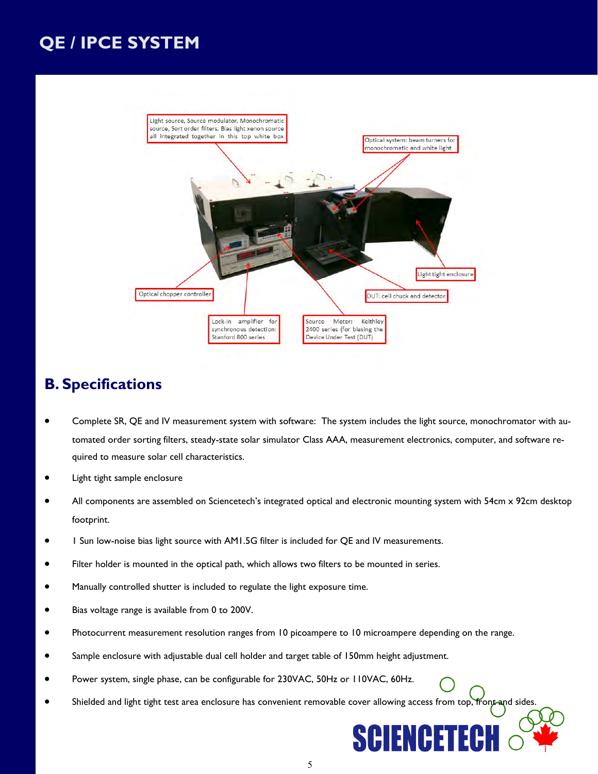

### **B. Specifications**

- Complete SR, QE and IV measurement system with software: The system includes the light source, monochromator with automated order sorting filters, steady-state solar simulator Class AAA, measurement electronics, computer, and software required to measure solar cell characteristics.
- Light tight sample enclosure
- All components are assembled on Sciencetech's integrated optical and electronic mounting system with 54cm x 92cm desktop footprint.
- 1 Sun low-noise bias light source with AM1.5G filter is included for QE and IV measurements.
- Filter holder is mounted in the optical path, which allows two filters to be mounted in series.
- Manually controlled shutter is included to regulate the light exposure time.
- Bias voltage range is available from 0 to 200V.
- Photocurrent measurement resolution ranges from 10 picoampere to 10 microampere depending on the range.
- Sample enclosure with adjustable dual cell holder and target table of 150mm height adjustment.
- Power system, single phase, can be configurable for 230VAC, 50Hz or 110VAC, 60Hz.
- Shielded and light tight test area enclosure has convenient removable cover allowing access from top, front and sides.

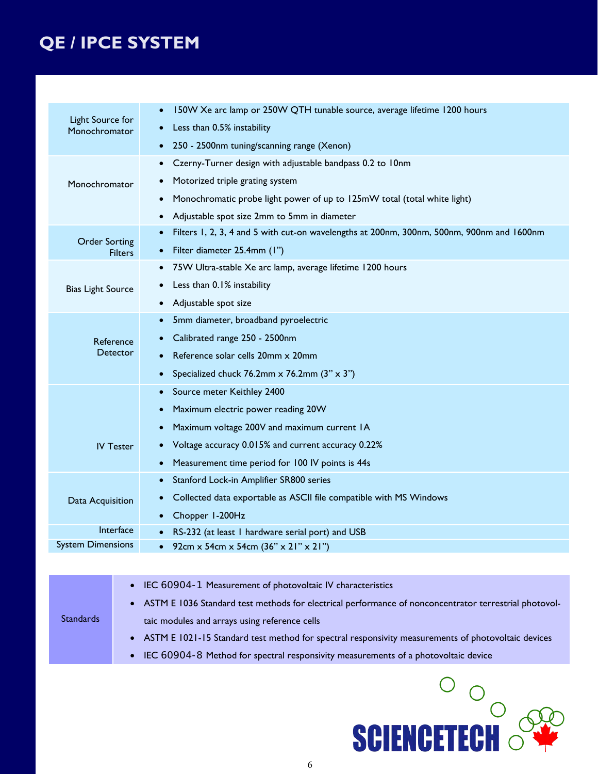| Light Source for<br>Monochromator      | 150W Xe arc lamp or 250W QTH tunable source, average lifetime 1200 hours<br>Less than 0.5% instability<br>250 - 2500nm tuning/scanning range (Xenon)                                                                                           |  |  |  |  |  |
|----------------------------------------|------------------------------------------------------------------------------------------------------------------------------------------------------------------------------------------------------------------------------------------------|--|--|--|--|--|
| Monochromator                          | Czerny-Turner design with adjustable bandpass 0.2 to 10nm<br>Motorized triple grating system<br>Monochromatic probe light power of up to 125mW total (total white light)<br>Adjustable spot size 2mm to 5mm in diameter                        |  |  |  |  |  |
| <b>Order Sorting</b><br><b>Filters</b> | Filters 1, 2, 3, 4 and 5 with cut-on wavelengths at 200nm, 300nm, 500nm, 900nm and 1600nm<br>Filter diameter 25.4mm (1")                                                                                                                       |  |  |  |  |  |
| <b>Bias Light Source</b>               | 75W Ultra-stable Xe arc lamp, average lifetime 1200 hours<br>Less than 0.1% instability<br>Adjustable spot size                                                                                                                                |  |  |  |  |  |
| Reference                              | 5mm diameter, broadband pyroelectric<br>Calibrated range 250 - 2500nm<br><b>Detector</b><br>Reference solar cells 20mm x 20mm<br>Specialized chuck 76.2mm $\times$ 76.2mm (3" $\times$ 3")                                                     |  |  |  |  |  |
|                                        | Source meter Keithley 2400<br>Maximum electric power reading 20W<br>Maximum voltage 200V and maximum current IA<br>Voltage accuracy 0.015% and current accuracy 0.22%<br><b>IV Tester</b><br>Measurement time period for 100 IV points is 44s  |  |  |  |  |  |
| Data Acquisition                       | Stanford Lock-in Amplifier SR800 series<br>Collected data exportable as ASCII file compatible with MS Windows<br>Chopper I-200Hz                                                                                                               |  |  |  |  |  |
|                                        | Interface<br>RS-232 (at least 1 hardware serial port) and USB                                                                                                                                                                                  |  |  |  |  |  |
| <b>System Dimensions</b>               | 92cm x 54cm x 54cm (36" x 21" x 21")                                                                                                                                                                                                           |  |  |  |  |  |
|                                        |                                                                                                                                                                                                                                                |  |  |  |  |  |
| <b>Standards</b>                       | IEC 60904-1 Measurement of photovoltaic IV characteristics<br>$\bullet$<br>ASTM E 1036 Standard test methods for electrical performance of nonconcentrator terrestrial photovol-<br>$\bullet$<br>taic modules and arrays using reference cells |  |  |  |  |  |

- ASTM E 1021-15 Standard test method for spectral responsivity measurements of photovoltaic devices
- IEC 60904-8 Method for spectral responsivity measurements of a photovoltaic device

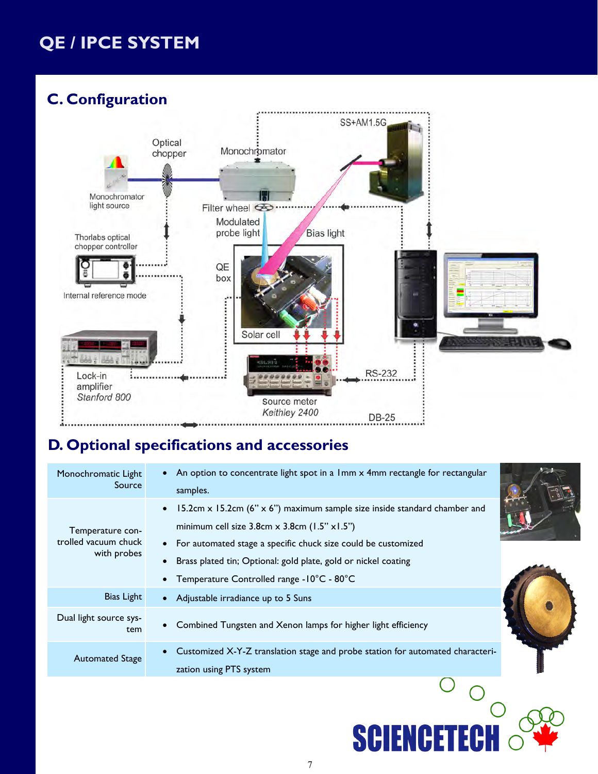

### **D. Optional specifications and accessories**

| Monochromatic Light<br>Source                           | An option to concentrate light spot in a 1mm x 4mm rectangle for rectangular<br>samples.                                                                                                                                                                                                                                                |  |
|---------------------------------------------------------|-----------------------------------------------------------------------------------------------------------------------------------------------------------------------------------------------------------------------------------------------------------------------------------------------------------------------------------------|--|
| Temperature con-<br>trolled vacuum chuck<br>with probes | 15.2cm $\times$ 15.2cm (6" $\times$ 6") maximum sample size inside standard chamber and<br>minimum cell size $3.8cm \times 3.8cm$ (1.5" $\times$ 1.5")<br>For automated stage a specific chuck size could be customized<br>Brass plated tin; Optional: gold plate, gold or nickel coating<br>Temperature Controlled range - 10°C - 80°C |  |
| Bias Light                                              | • Adjustable irradiance up to 5 Suns                                                                                                                                                                                                                                                                                                    |  |
| Dual light source sys-<br>tem                           | Combined Tungsten and Xenon lamps for higher light efficiency                                                                                                                                                                                                                                                                           |  |
| <b>Automated Stage</b>                                  | Customized X-Y-Z translation stage and probe station for automated characteri-<br>zation using PTS system                                                                                                                                                                                                                               |  |
|                                                         |                                                                                                                                                                                                                                                                                                                                         |  |

**SCIENCETECI**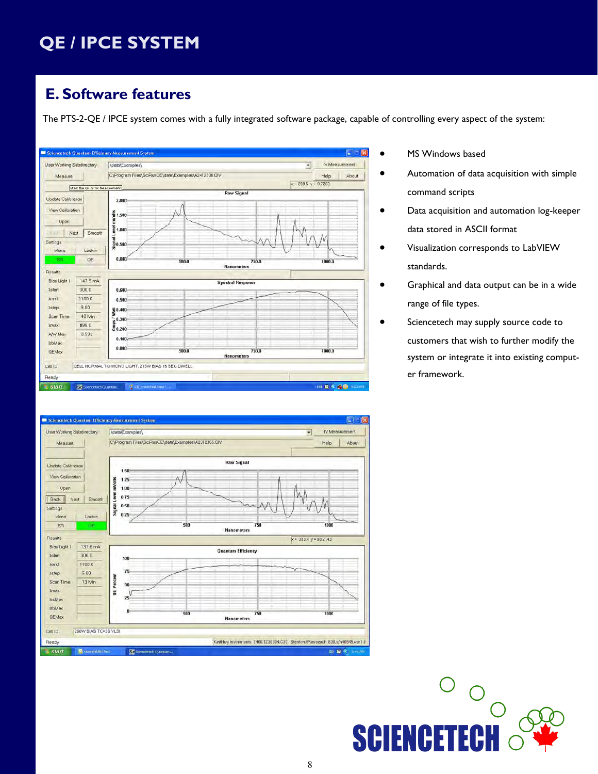### **E. Software features**

The PTS-2-QE / IPCE system comes with a fully integrated software package, capable of controlling every aspect of the system:





- MS Windows based
- Automation of data acquisition with simple command scripts
- Data acquisition and automation log-keeper data stored in ASCII format
- Visualization corresponds to LabVIEW standards.
- Graphical and data output can be in a wide range of file types.
	- Sciencetech may supply source code to customers that wish to further modify the system or integrate it into existing computer framework.